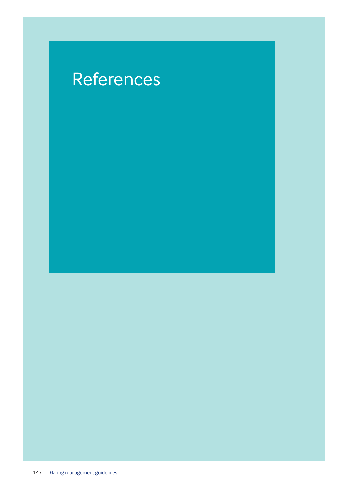## References

147 — Flaring management guidelines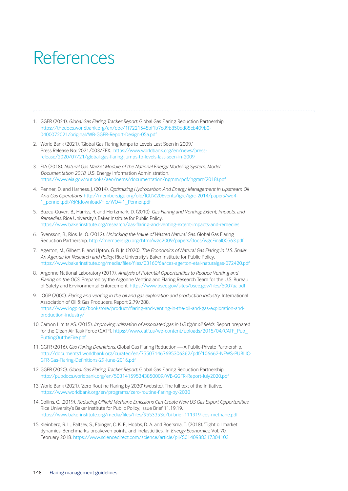## References

- 1. GGFR (2021). *Global Gas Flaring Tracker Report*. Global Gas Flaring Reduction Partnership. https://thedocs.worldbank.org/en/doc/1f7221545bf1b7c89b850dd85cb409b0- 0400072021/original/WB-GGFR-Report-Design-05a.pdf
- 2. World Bank (2021). 'Global Gas Flaring Jumps to Levels Last Seen in 2009.' Press Release No: 2021/003/EEX. https://www.worldbank.org/en/news/pressrelease/2020/07/21/global-gas-flaring-jumps-to-levels-last-seen-in-2009
- 3. EIA (2018). *Natural Gas Market Module of the National Energy Modeling System: Model Documentation 2018*. U.S. Energy Information Administration. [https://www.eia.gov/outlooks/aeo/nems/documentation/ngmm/pdf/ngmm\(2018\).pdf](https://www.eia.gov/outlooks/aeo/nems/documentation/ngmm/pdf/ngmm(2018).pdf)
- 4. Penner, D. and Harness, J. (2014). *Optimizing Hydrocarbon And Energy Management In Upstream Oil And Gas Operations*. http://members.igu.org/old/IGU%20Events/igrc/igrc-2014/papers/wo4- 1\_penner.pdf/@@download/file/WO4-1\_Penner.pdf
- 5. Buzcu-Guven, B., Harriss, R. and Hertzmark, D. (2010). *Gas Flaring and Venting: Extent, Impacts, and Remedies*. Rice University's Baker Institute for Public Policy. https://www.bakerinstitute.org/research/gas-flaring-and-venting-extent-impacts-and-remedies
- 6. Svensson, B., Ríos, M. O. (2012). *Unlocking the Value of Wasted Natural Gas*. Global Gas Flaring Reduction Partnership. http://members.igu.org/html/wgc2009/papers/docs/wgcFinal00563.pdf
- 7. Agerton, M., Gilbert, B. and Upton, G. B. Jr. (2020). *The Economics of Natural Gas Flaring in U.S. Shale: An Agenda for Research and Policy*. Rice University's Baker Institute for Public Policy. https://www.bakerinstitute.org/media/files/files/03160f6a/ces-agerton-etal-naturalgas-072420.pdf
- 8. Argonne National Laboratory (2017). *Analysis of Potential Opportunities to Reduce Venting and Flaring on the OCS*. Prepared by the Argonne Venting and Flaring Research Team for the U.S. Bureau of Safety and Environmental Enforcement. https://www.bsee.gov/sites/bsee.gov/files/5007aa.pdf
- 9. IOGP (2000). *Flaring and venting in the oil and gas exploration and production industry*. International Association of Oil & Gas Producers, Report 2.79/288. https://www.iogp.org/bookstore/product/flaring-and-venting-in-the-oil-and-gas-exploration-andproduction-industry/
- 10. Carbon Limits AS. (2015). *Improving utilization of associated gas in US tight oil fields*. Report prepared for the Clean Air Task Force (CATF). https://www.catf.us/wp-content/uploads/2015/04/CATF\_Pub\_ PuttingOuttheFire.pdf
- 11. GGFR (2016). *Gas Flaring Definitions*. Global Gas Flaring Reduction A Public-Private Partnership. http://documents1.worldbank.org/curated/en/755071467695306362/pdf/106662-NEWS-PUBLIC-GFR-Gas-Flaring-Definitions-29-June-2016.pdf
- 12. GGFR (2020). *Global Gas Flaring Tracker Report*. Global Gas Flaring Reduction Partnership. http://pubdocs.worldbank.org/en/503141595343850009/WB-GGFR-Report-July2020.pdf
- 13. World Bank (2021). 'Zero Routine Flaring by 2030' (website). The full text of the Initiative. https://www.worldbank.org/en/programs/zero-routine-flaring-by-2030
- 14. Collins, G. (2019). *Reducing Oilfield Methane Emissions Can Create New US Gas Export Opportunities*. Rice University's Baker Institute for Public Policy, Issue Brief 11.19.19. https://www.bakerinstitute.org/media/files/files/9553353d/bi-brief-111919-ces-methane.pdf
- 15. Kleinberg, R. L., Paltsev, S., Ebinger, C. K. E., Hobbs, D. A. and Boersma, T. (2018). 'Tight oil market dynamics: Benchmarks, breakeven points, and inelasticities.' In *Energy Economics,* Vol. 70, February 2018. https://www.sciencedirect.com/science/article/pii/S0140988317304103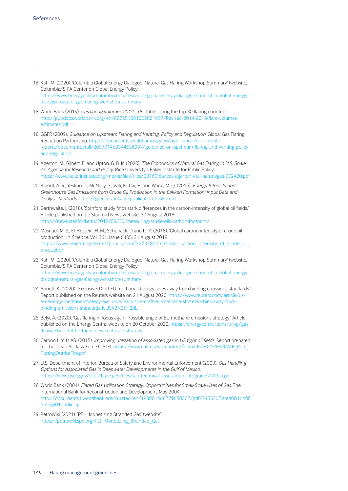16. Kah, M. (2020). 'Columbia Global Energy Dialogue: Natural Gas Flaring Workshop Summary' (website).

Columbia/SIPA Center on Global Energy Policy. https://www.energypolicy.columbia.edu/research/global-energy-dialogue/columbia-global-energydialogue-natural-gas-flaring-workshop-summary

- 18. World Bank (2019). *Gas flaring volumes 2014 18.* Table listing the top 30 flaring countries. http://pubdocs.worldbank.org/en/887251581002821897/Revised-2014-2018-flare-volumesestimates.pdf
- 18. GGFR (2009). *Guidance on Upstream Flaring and Venting. Policy and Regulation.* Global Gas Flaring Reduction Partnership. https://documents.worldbank.org/en/publication/documentsreports/documentdetail/200701468344636937/guidance-on-upstream-flaring-and-venting-policyand-regulation
- 19. Agerton, M., Gilbert, B. and Upton, G. B. Jr. (2020). *The Economics of Natural Gas Flaring in U.S. Shale: An Agenda for Research and Policy*. Rice University's Baker Institute for Public Policy. https://www.bakerinstitute.org/media/files/files/03160f6a/ces-agerton-etal-naturalgas-072420.pdf
- 20. Brandt, A. R., Yeskoo, T., McNally, S., Vafi, K., Cai, H. and Wang, M. Q. (2015). *Energy Intensity and Greenhouse Gas Emissions from Crude Oil Production in the Bakken Formation: Input Data and Analysis Methods*. https://greet.es.anl.gov/publication-bakken-oil
- 21. Garthwaite, J. (2018). 'Stanford study finds stark differences in the carbon-intensity of global oil fields.' Article published on the Stanford News website, 30 August 2018. https://news.stanford.edu/2018/08/30/measuring-crude-oils-carbon-footprint/
- 22. Masnadi, M. S., El-Houjeiri, H. M., Schunack, D and Li, Y. (2018). 'Global carbon intensity of crude oil production.' In *Science*, Vol. 361, Issue 6405, 31 August 2018. [https://www.researchgate.net/publication/327328315\\_Global\\_carbon\\_intensity\\_of\\_crude\\_oil\\_](https://www.researchgate.net/publication/327328315_Global_carbon_intensity_of_crude_oil_production) production
- 23. Kah, M. (2020). 'Columbia Global Energy Dialogue: Natural Gas Flaring Workshop Summary' (website). Columbia/SIPA Center on Global Energy Policy. https://www.energypolicy.columbia.edu/research/global-energy-dialogue/columbia-global-energydialogue-natural-gas-flaring-workshop-summary
- 24. Abnett, K. (2020). 'Exclusive: Draft EU methane strategy shies away from binding emissions standards.' Report published on the Reuters website on 21 August 2020. https://www.reuters.com/article/useu-energy-methane-strategy-exclusive/exclusive-draft-eu-methane-strategy-shies-away-frombinding-emissions-standards-idUSKBN25H2BL
- 25. Belyi, A. (2020). 'Gas flaring in focus again. Possible angle of EU methane emissions strategy.' Article published on the Energy Central website on 20 October 2020. https://energycentral.com/c/og/gasflaring-should-it-be-focus-new-methane-strategy
- 26. Carbon Limits AS. (2015). *Improving utilization of associated gas in US tight oil fields*. Report prepared [for the Clean Air Task Force \(CATF\). https://www.catf.us/wp-content/uploads/2015/04/CATF\\_Pub\\_](https://www.catf.us/wp-content/uploads/2015/04/CATF_Pub_PuttingOuttheFire.pdf)  PuttingOuttheFire.pdf
- 27. U.S. Department of Interior, Bureau of Safety and Environmental Enforcement (2003). *Gas Handling Options for Associated Gas in Deepwater Developments in the Gulf of Mexico*. https://www.bsee.gov/sites/bsee.gov/files/tap-technical-assessment-program//443aa.pdf
- 28. World Bank (2004). *Flared Gas Utilization Strategy. Opportunities for Small-Scale Uses of Gas.* The International Bank for Reconstruction and Development, May 2004. [http://documents1.worldbank.org/curated/en/193801468779650307/pdf/295520Flared0G1on0S](http://documents1.worldbank.org/curated/en/193801468779650307/pdf/295520Flared0G1on0Strategy01public1.pdf) trategy01public1.pdf
- 29. PetroWiki (2021). 'PEH: Monetizing Stranded Gas' (website). https://petrowiki.spe.org/PEH:Monetizing\_Stranded\_Gas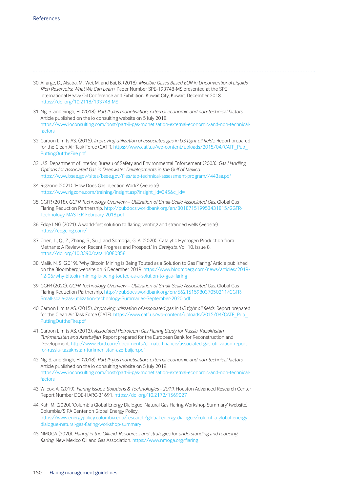- 30. Alfarge, D., Alsaba, M., Wei, M. and Bai, B. (2018). *Miscible Gases Based EOR in Unconventional Liquids Rich Reservoirs: What We Can Learn*. Paper Number SPE-193748-MS presented at the SPE International Heavy Oil Conference and Exhibition, Kuwait City, Kuwait, December 2018. https://doi.org/10.2118/193748-MS
- 31. Ng, S. and Singh, H. (2018). *Part II: gas monetisation, external economic and non-technical factors.* Article published on the io consulting website on 5 July 2018. [https://www.ioconsulting.com/post/part-ii-gas-monetisation-external-economic-and-non-technical](https://www.ioconsulting.com/post/part-ii-gas-monetisation-external-economic-and-non-technical-factors)factors
- 32. Carbon Limits AS. (2015). *Improving utilization of associated gas in US tight oil fields*. Report prepared [for the Clean Air Task Force \(CATF\). https://www.catf.us/wp-content/uploads/2015/04/CATF\\_Pub\\_](https://www.catf.us/wp-content/uploads/2015/04/CATF_Pub_PuttingOuttheFire.pdf)  PuttingOuttheFire.pdf
- 33. U.S. Department of Interior, Bureau of Safety and Environmental Enforcement (2003). *Gas Handling Options for Associated Gas in Deepwater Developments in the Gulf of Mexico*. https://www.bsee.gov/sites/bsee.gov/files/tap-technical-assessment-program//443aa.pdf
- 34. Rigzone (2021). 'How Does Gas Injection Work?' (website). https://www.rigzone.com/training/insight.asp?insight\_id=345&c\_id=
- 35. GGFR (2018). *GGFR Technology Overview Utilization of Small-Scale Associated Gas.* Global Gas Flaring Reduction Partnership. http://pubdocs.worldbank.org/en/801871519953431815/GGFR-Technology-MASTER-February-2018.pdf
- 36. Edge LNG (2021). A world-first solution to flaring, venting and stranded wells (website). https://edgelng.com/
- 37. Chen, L., Qi, Z., Zhang, S., Su, J. and Somorjai, G. A. (2020). 'Catalytic Hydrogen Production from Methane: A Review on Recent Progress and Prospect.' In *Catalysts,* Vol. 10, Issue 8. https://doi.org/10.3390/catal10080858
- 38. Malik, N. S. (2019). 'Why Bitcoin Mining Is Being Touted as a Solution to Gas Flaring.' Article published on the Bloomberg website on 6 December 2019. https://www.bloomberg.com/news/articles/2019- 12-06/why-bitcoin-mining-is-being-touted-as-a-solution-to-gas-flaring
- 39. GGFR (2020). *GGFR Technology Overview Utilization of Small-Scale Associated Gas.* Global Gas Flaring Reduction Partnership. http://pubdocs.worldbank.org/en/662151598037050211/GGFR-Small-scale-gas-utilization-technology-Summaries-September-2020.pdf
- 40. Carbon Limits AS. (2015). *Improving utilization of associated gas in US tight oil fields*. Report prepared [for the Clean Air Task Force \(CATF\). https://www.catf.us/wp-content/uploads/2015/04/CATF\\_Pub\\_](https://www.catf.us/wp-content/uploads/2015/04/CATF_Pub_PuttingOuttheFire.pdf)  PuttingOuttheFire.pdf
- 41. Carbon Limits AS. (2013). *Associated Petroleum Gas Flaring Study for Russia, Kazakhstan, Turkmenistan and Azerbaijan*. Report prepared for the European Bank for Reconstruction and Development. http://www.ebrd.com/documents/climate-finance/associated-gas-utilization-reportfor-russia-kazakhstan-turkmenistan-azerbaijan.pdf
- 42. Ng, S. and Singh, H. (2018). *Part II: gas monetisation, external economic and non-technical factors.* Article published on the io consulting website on 5 July 2018. [https://www.ioconsulting.com/post/part-ii-gas-monetisation-external-economic-and-non-technical](https://www.ioconsulting.com/post/part-ii-gas-monetisation-external-economic-and-non-technical-factors)factors
- 43. Wilcox, A. (2019). *Flaring Issues, Solutions & Technologies 2019*. Houston Advanced Research Center Report Number DOE-HARC-31691. https://doi.org/10.2172/1569027
- 44. Kah, M. (2020). 'Columbia Global Energy Dialogue: Natural Gas Flaring Workshop Summary' (website). Columbia/SIPA Center on Global Energy Policy. https://www.energypolicy.columbia.edu/research/global-energy-dialogue/columbia-global-energydialogue-natural-gas-flaring-workshop-summary
- 45. NMOGA (2020). *Flaring in the Oilfield. Resources and strategies for understanding and reducing flaring.* New Mexico Oil and Gas Association. https://www.nmoga.org/flaring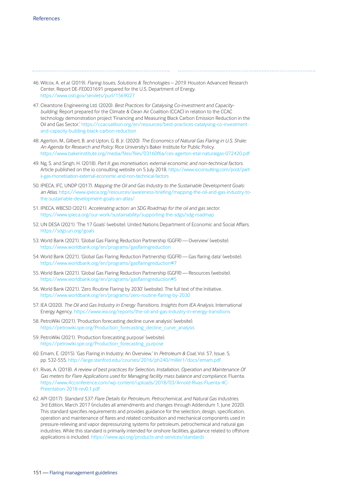46. Wilcox, A. *et al.* (2019). *Flaring Issues, Solutions & Technologies – 2019*. Houston Advanced Research Center, Report DE-FE0031691 prepared for the U.S. Department of Energy. https://www.osti.gov/servlets/purl/1569027

- 47. Clearstone Engineering Ltd. (2020). *Best Practices for Catalysing Co-investment and Capacitybuilding*. Report prepared for the Climate & Clean Air Coalition (CCAC) in relation to the CCAC technology demonstration project 'Financing and Measuring Black Carbon Emission Reduction in the Oil and Gas Sector.' https://ccacoalition.org/en/resources/best-practices-catalysing-co-investmentand-capacity-building-black-carbon-reduction
- 48. Agerton, M., Gilbert, B. and Upton, G. B. Jr. (2020). *The Economics of Natural Gas Flaring in U.S. Shale: An Agenda for Research and Policy*. Rice University's Baker Institute for Public Policy. https://www.bakerinstitute.org/media/files/files/03160f6a/ces-agerton-etal-naturalgas-072420.pdf
- 49. Ng, S. and Singh, H. (2018). *Part II: gas monetisation, external economic and non-technical factors.* Article published on the io consulting website on 5 July 2018. https://www.ioconsulting.com/post/partii-gas-monetisation-external-economic-and-non-technical-factors
- 50. IPIECA, IFC, UNDP (2017). *Mapping the Oil and Gas Industry to the Sustainable Development Goals: an Atlas.* https://www.ipieca.org/resources/awareness-briefing/mapping-the-oil-and-gas-industry-tothe-sustainable-development-goals-an-atlas/
- 51. IPIECA, WBCSD (2021). *Accelerating action: an SDG Roadmap for the oil and gas sector*. https://www.ipieca.org/our-work/sustainability/supporting-the-sdgs/sdg-roadmap
- 52. UN DESA (2021). 'The 17 Goals' (website). United Nations Department of Economic and Social Affairs. https://sdgs.un.org/goals
- 53. World Bank (2021). 'Global Gas Flaring Reduction Partnership (GGFR) Overview' (website). https://www.worldbank.org/en/programs/gasflaringreduction
- 54. World Bank (2021). 'Global Gas Flaring Reduction Partnership (GGFR) Gas flaring data' (website). https://www.worldbank.org/en/programs/gasflaringreduction#7
- 55. World Bank (2021). 'Global Gas Flaring Reduction Partnership (GGFR) Resources (website). https://www.worldbank.org/en/programs/gasflaringreduction#5
- 56. World Bank (2021). 'Zero Routine Flaring by 2030' (website). The full text of the Initiative. https://www.worldbank.org/en/programs/zero-routine-flaring-by-2030
- 57. IEA (2020). *The Oil and Gas Industry in Energy Transitions. Insights from IEA Analysis.* International Energy Agency. https://www.iea.org/reports/the-oil-and-gas-industry-in-energy-transitions
- 58. PetroWiki (2021). 'Production forecasting decline curve analysis' (website). https://petrowiki.spe.org/Production\_forecasting\_decline\_curve\_analysis
- 59. PetroWiki (2021). 'Production forecasting purpose' (website). https://petrowiki.spe.org/Production\_forecasting\_purpose
- 60. Emam, E. (2015). 'Gas Flaring in Industry: An Overview.' In *Petroleum & Coal,* Vol. 57, Issue. 5, pp. 532-555. http://large.stanford.edu/courses/2016/ph240/miller1/docs/emam.pdf
- 61. Rivas, A. (2018). *A review of best practices for Selection, Installation, Operation and Maintenance Of Gas meters for Flare Applications used for Managing facility mass balance and compliance.* Fluenta. https://www.4cconference.com/wp-content/uploads/2018/03/Arnold-Rivas-Fluenta-4C-Preentation-2018-rev0.1.pdf
- 62. API (2017). *Standard 537: Flare Details for Petroleum, Petrochemical, and Natural Gas Industries.* 3rd Edition, March 2017 (includes all amendments and changes through Addendum 1, June 2020). This standard specifies requirements and provides guidance for the selection, design, specification, operation and maintenance of flares and related combustion and mechanical components used in pressure-relieving and vapor depressurizing systems for petroleum, petrochemical and natural gas industries. While this standard is primarily intended for onshore facilities, guidance related to offshore applications is included. https://www.api.org/products-and-services/standards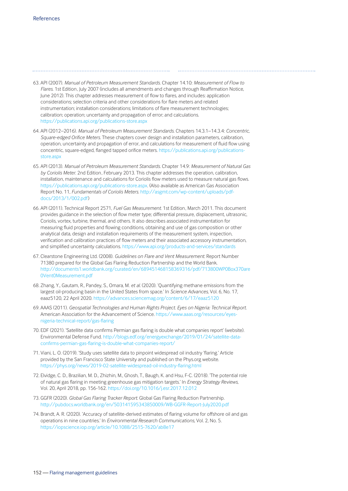- 63. API (2007). *Manual of Petroleum Measurement Standards*. Chapter 14.10: *Measurement of Flow to Flares*. 1st Edition , July 2007 (includes all amendments and changes through Reaffirmation Notice, June 2012). This chapter addresses measurement of flow to flares, and includes: application considerations; selection criteria and other considerations for flare meters and related instrumentation; installation considerations; limitations of flare measurement technologies; calibration; operation; uncertainty and propagation of error; and calculations. https://publications.api.org/publications-store.aspx
- 64. API (2012–2016). *Manual of Petroleum Measurement Standards*. Chapters 14.3.1–14.3.4: *Concentric, Square-edged Orifice Meters*. These chapters cover design and installation parameters, calibration, operation, uncertainty and propagation of error, and calculations for measurement of fluid flow using concentric, square-edged, flanged tapped orifice meters. https://publications.api.org/publicationsstore.aspx
- 65. API (2013). *Manual of Petroleum Measurement Standards*. Chapter 14.9: *Measurement of Natural Gas by Coriolis Meter*. 2nd Edition , February 2013. This chapter addresses the operation, calibration, installation, maintenance and calculations for Coriolis flow meters used to measure natural gas flows. https://publications.api.org/publications-store.aspx. (Also available as American Gas Association Report No. 11, *Fundamentals of Coriolis Meters*. http://asgmt.com/wp-content/uploads/pdfdocs/2013/1/002.pdf)
- 66. API (2011). Technical Report 2571, *Fuel Gas Measurement*. 1st Edition , March 2011. This document provides guidance in the selection of flow meter type; differential pressure, displacement, ultrasonic, Coriolis, vortex, turbine, thermal, and others. It also describes associated instrumentation for measuring fluid properties and flowing conditions, obtaining and use of gas composition or other analytical data, design and installation requirements of the measurement system, inspection, verification and calibration practices of flow meters and their associated accessory instrumentation, and simplified uncertainty calculations. https://www.api.org/products-and-services/standards
- 67. Clearstone Engineering Ltd. (2008). *Guidelines on Flare and Vent Measurement*. Report Number 71380 prepared for the Global Gas Flaring Reduction Partnership and the World Bank. [http://documents1.worldbank.org/curated/en/689451468158369316/pdf/713800WP0Box370are](http://documents1.worldbank.org/curated/en/689451468158369316/pdf/713800WP0Box370are0Vent0Measurement.pdf) 0Vent0Measurement.pdf
- 68. Zhang, Y., Gautam, R., Pandey, S., Omara, M. *et al.* (2020). 'Quantifying methane emissions from the largest oil-producing basin in the United States from space.' In *Science Advances*, Vol. 6, No. 17, eaaz5120, 22 April 2020. https://advances.sciencemag.org/content/6/17/eaaz5120
- 69. AAAS (2011). *Geospatial Technologies and Human Rights Project. Eyes on Nigeria: Technical Report.*  American Association for the Advancement of Science. https://www.aaas.org/resources/eyesnigeria-technical-report/gas-flaring
- 70. EDF (2021). 'Satellite data confirms Permian gas flaring is double what companies report' (website). Environmental Defense Fund. http://blogs.edf.org/energyexchange/2019/01/24/satellite-dataconfirms-permian-gas-flaring-is-double-what-companies-report/
- 71. Viani, L. O. (2019). 'Study uses satellite data to pinpoint widespread oil industry 'flaring.' Article provided by the San Francisco State University and published on the Phys.org website. https://phys.org/news/2019-02-satellite-widespread-oil-industry-flaring.html
- 72. Elvidge, C. D., Brazilian, M. D., Zhizhin, M., Ghosh, T., Baugh, K. and Hsu, F-C. (2018). 'The potential role of natural gas flaring in meeting greenhouse gas mitigation targets.' In *Energy Strategy Reviews*, Vol. 20, April 2018, pp. 156-162. https://doi.org/10.1016/j.esr.2017.12.012
- 73. GGFR (2020). *Global Gas Flaring Tracker Report*. Global Gas Flaring Reduction Partnership. http://pubdocs.worldbank.org/en/503141595343850009/WB-GGFR-Report-July2020.pdf
- 74. Brandt, A. R. (2020). 'Accuracy of satellite-derived estimates of flaring volume for offshore oil and gas operations in nine countries.' In *Environmental Research Communications*, Vol. 2, No. 5. https://iopscience.iop.org/article/10.1088/2515-7620/ab8e17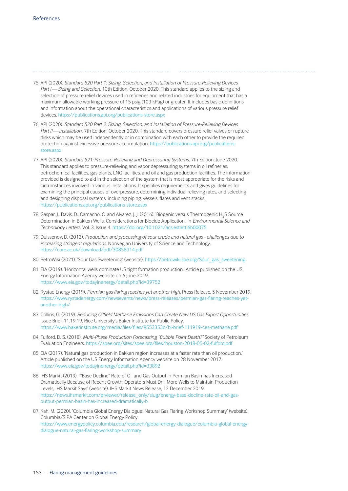- 75. API (2020). *Standard 520 Part 1: Sizing, Selection, and Installation of Pressure-Relieving Devices*  Part I-Sizing and Selection. 10th Edition, October 2020. This standard applies to the sizing and selection of pressure relief devices used in refineries and related industries for equipment that has a maximum allowable working pressure of 15 psig (103 kPag) or greater. It includes basic definitions and information about the operational characteristics and applications of various pressure relief devices. https://publications.api.org/publications-store.aspx
- 76. API (2020). *Standard 520 Part 2: Sizing, Selection, and Installation of Pressure-Relieving Devices Part II — Installation*. 7th Edition, October 2020. This standard covers pressure relief valves or rupture disks which may be used independently or in combination with each other to provide the required protection against excessive pressure accumulation. https://publications.api.org/publicationsstore.asp>
- 77. API (2020). *Standard 521: Pressure-Relieving and Depressuring Systems*. 7th Edition, June 2020. This standard applies to pressure-relieving and vapor depressuring systems in oil refineries, petrochemical facilities, gas plants, LNG facilities, and oil and gas production facilities. The information provided is designed to aid in the selection of the system that is most appropriate for the risks and circumstances involved in various installations. It specifies requirements and gives guidelines for examining the principal causes of overpressure, determining individual relieving rates, and selecting and designing disposal systems, including piping, vessels, flares and vent stacks. https://publications.api.org/publications-store.aspx
- 78. Gaspar, J., Davis, D., Camacho, C. and Alvarez, J. J. (2016). 'Biogenic versus Thermogenic H2S Source Determination in Bakken Wells: Considerations for Biocide Application.' in *Environmental Science and Technology Letters.* Vol. 3, Issue 4. https://doi.org/10.1021/acs.estlett.6b00075
- 79. Duissenov, D. (2013). *Production and processing of sour crude and natural gas challenges due to increasing stringent regulations*. Norwegian University of Science and Technology. https://core.ac.uk/download/pdf/30858314.pdf
- 80. PetroWiki (2021). 'Sour Gas Sweetening' (website). https://petrowiki.spe.org/Sour\_gas\_sweetening
- 81. EIA (2019). 'Horizontal wells dominate US tight formation production.' Article published on the US Energy Information Agency website on 6 June 2019. https://www.eia.gov/todayinenergy/detail.php?id=39752
- 82. Rystad Energy (2019). *Permian gas flaring reaches yet another high*. Press Release, 5 November 2019. https://www.rystadenergy.com/newsevents/news/press-releases/permian-gas-flaring-reaches-yetanother-high/
- 83. Collins, G. (2019). *Reducing Oilfield Methane Emissions Can Create New US Gas Export Opportunities*. Issue Brief, 11.19.19. Rice University's Baker Institute for Public Policy. https://www.bakerinstitute.org/media/files/files/9553353d/bi-brief-111919-ces-methane.pdf
- 84. Fulford, D. S. (2018). *Multi-Phase Production Forecasting "Bubble Point Death?"* Society of Petroleum Evaluation Engineers. https://spee.org/sites/spee.org/files/houston-2018-05-02-fulford.pdf
- 85. EIA (2017). 'Natural gas production in Bakken region increases at a faster rate than oil production.' Article published on the US Energy Information Agency website on 28 November 2017. https://www.eia.gov/todayinenergy/detail.php?id=33892
- 86. IHS Markit (2019). ' "Base Decline" Rate of Oil and Gas Output in Permian Basin has Increased Dramatically Because of Recent Growth; Operators Must Drill More Wells to Maintain Production Levels, IHS Markit Says' (website). IHS Markit News Release, 12 December 2019. https://news.ihsmarkit.com/prviewer/release\_only/slug/energy-base-decline-rate-oil-and-gasoutput-permian-basin-has-increased-dramatically-b
- 87. Kah, M. (2020). 'Columbia Global Energy Dialogue: Natural Gas Flaring Workshop Summary' (website). Columbia/SIPA Center on Global Energy Policy. https://www.energypolicy.columbia.edu/research/global-energy-dialogue/columbia-global-energydialogue-natural-gas-flaring-workshop-summary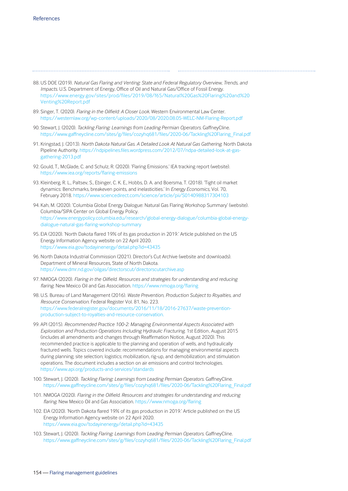- 88. US DOE (2019). *Natural Gas Flaring and Venting: State and Federal Regulatory Overview, Trends, and Impacts*. U.S. Department of Energy, Office of Oil and Natural Gas/Office of Fossil Energy. [https://www.energy.gov/sites/prod/files/2019/08/f65/Natural%20Gas%20Flaring%20and%20](https://www.energy.gov/sites/prod/files/2019/08/f65/Natural%20Gas%20Flaring%20and%20Venting%20Report.pdf) Venting%20Report.pdf
- 89. Singer, T. (2020). *Flaring in the Oilfield: A Closer Look*. Western Environmental Law Center. https://westernlaw.org/wp-content/uploads/2020/08/2020.08.05-WELC-NM-Flaring-Report.pdf
- 90. Stewart, J. (2020). *Tackling Flaring: Learnings from Leading Permian Operators*. GaffneyCline. https://www.gaffneycline.com/sites/g/files/cozyhq681/files/2020-06/Tackling%20Flaring\_Final.pdf
- 91. Kringstad, J. (2013). *North Dakota Natural Gas. A Detailed Look At Natural Gas Gathering*. North Dakota Pipeline Authority. https://ndpipelines.files.wordpress.com/2012/07/ndpa-detailed-look-at-gasgathering-2013.pdf
- 92. Gould, T., McGlade, C. and Schulz, R. (2020). 'Flaring Emissions.' IEA tracking report (website). https://www.iea.org/reports/flaring-emissions
- 93. Kleinberg, R. L., Paltsev, S., Ebinger, C. K. E., Hobbs, D. A. and Boersma, T. (2018). 'Tight oil market dynamics: Benchmarks, breakeven points, and inelasticities.' In *Energy Economics,* Vol. 70, February 2018. https://www.sciencedirect.com/science/article/pii/S0140988317304103
- 94. Kah, M. (2020). 'Columbia Global Energy Dialogue: Natural Gas Flaring Workshop Summary' (website). Columbia/SIPA Center on Global Energy Policy. https://www.energypolicy.columbia.edu/research/global-energy-dialogue/columbia-global-energydialogue-natural-gas-flaring-workshop-summary
- 95. EIA (2020). 'North Dakota flared 19% of its gas production in 2019.' Article published on the US Energy Information Agency website on 22 April 2020. https://www.eia.gov/todayinenergy/detail.php?id=43435
- 96. North Dakota Industrial Commission (2021). Director's Cut Archive (website and downloads). Department of Mineral Resources, State of North Dakota. https://www.dmr.nd.gov/oilgas/directorscut/directorscutarchive.asp
- 97. NMOGA (2020). *Flaring in the Oilfield. Resources and strategies for understanding and reducing flaring.* New Mexico Oil and Gas Association. https://www.nmoga.org/flaring
- 98. U.S. Bureau of Land Management (2016). *Waste Prevention, Production Subject to Royalties, and Resource Conservation.* Federal Register Vol. 81, No. 223. https://www.federalregister.gov/documents/2016/11/18/2016-27637/waste-preventionproduction-subject-to-royalties-and-resource-conservation.
- 99. API (2015). *Recommended Practice 100-2: Managing Environmental Aspects Associated with Exploration and Production Operations Including Hydraulic Fracturing*. 1st Edition , August 2015 (includes all amendments and changes through Reaffirmation Notice, August 2020). This recommended practice is applicable to the planning and operation of wells, and hydraulically fractured wells. Topics covered include: recommendations for managing environmental aspects during planning; site selection; logistics; mobilization, rig-up, and demobilization; and stimulation operations. The document includes a section on air emissions and control technologies. https://www.api.org/products-and-services/standards
- 100. Stewart, J. (2020). *Tackling Flaring: Learnings from Leading Permian Operators*. GaffneyCline. https://www.gaffneycline.com/sites/g/files/cozyhq681/files/2020-06/Tackling%20Flaring\_Final.pdf
- 101. NMOGA (2020). *Flaring in the Oilfield. Resources and strategies for understanding and reducing flaring.* New Mexico Oil and Gas Association. https://www.nmoga.org/flaring
- 102. EIA (2020). 'North Dakota flared 19% of its gas production in 2019.' Article published on the US Energy Information Agency website on 22 April 2020. https://www.eia.gov/todayinenergy/detail.php?id=43435
- 103. Stewart, J. (2020). *Tackling Flaring: Learnings from Leading Permian Operators*. GaffneyCline. https://www.gaffneycline.com/sites/g/files/cozyhq681/files/2020-06/Tackling%20Flaring\_Final.pdf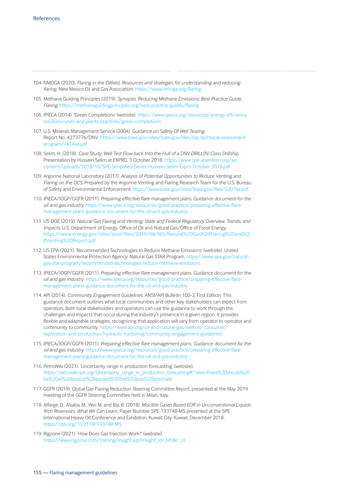- 104. NMOGA (2020). *Flaring in the Oilfield. Resources and strategies for understanding and reducing flaring.* New Mexico Oil and Gas Association. https://www.nmoga.org/flaring
- 105. Methane Guiding Principles (2019). *Synopsis. Reducing Methane Emissions: Best Practice Guide. Flaring.* https://methaneguidingprinciples.org/best-practice-guides/flaring
- 106. IPIECA (2014). 'Green Completions' (website). https://www.ipieca.org/resources/energy-efficiencysolutions/units-and-plants-practices/green-completions
- 107. U.S. Minerals Management Service (2004). *Guidance on Safety Of Well Testing*. Report No. 4273776/DNV. https://www.bsee.gov/sites/bsee.gov/files/tap-technical-assessmentprogram//474aa.pdf
- 108. Selim, H. (2018). *Case Study; Well Test Flow back Into the Hull of a DNV DRILL(N) Class Drillship*. Presentation by Hussein Selim at EXPRO, 3 October 2018. https://www.spe-aberdeen.org/wpcontent/uploads/2018/10/SPE-Simplified-Series-Hussein-Selim-Expro-October-2018.pdf
- 109. Argonne National Laboratory (2017). *Analysis of Potential Opportunities to Reduce Venting and Flaring on the OCS*. Prepared by the Argonne Venting and Flaring Research Team for the U.S. Bureau of Safety and Environmental Enforcement. https://www.bsee.gov/sites/bsee.gov/files/5007aa.pdf
- 110. IPIECA/IOGP/GGFR (2011). *Preparing effective flare management plans. Guidance document for the oil and gas industry*. https://www.ipieca.org/resources/good-practice/preparing-effective-flaremanagement-plans-guidance-document-for-the-oil-and-gas-industry
- 111. US DOE (2019). *Natural Gas Flaring and Venting: State and Federal Regulatory Overview, Trends, and Impacts*. U.S. Department of Energy, Office of Oil and Natural Gas/Office of Fossil Energy. [https://www.energy.gov/sites/prod/files/2019/08/f65/Natural%20Gas%20Flaring%20and%2](https://www.energy.gov/sites/prod/files/2019/08/f65/Natural%20Gas%20Flaring%20and%20Venting%20Report.pdf) 0Venting%20Report.pdf
- 112. US EPA (2021). 'Recommended Technologies to Reduce Methane Emissions' (website). United States Environmental Protection Agency, Natural Gas STAR Program. https://www.epa.gov/naturalgas-star-program/recommended-technologies-reduce-methane-emissions
- 113. IPIECA/IOGP/GGFR (2011). *Preparing effective flare management plans. Guidance document for the oil and gas industry*. https://www.ipieca.org/resources/good-practice/preparing-effective-flaremanagement-plans-guidance-document-for-the-oil-and-gas-industry
- 114. API (2014). *Community Engagement Guidelines*. ANSI/API Bulletin 100-3, First Edition. This guidance document outlines what local communities and other key stakeholders can expect from operators. Both local stakeholders and operators can use the guidance to work through the challenges and impacts that occur during the industry's presence in a given region. It provides flexible and adaptable strategies, recognizing that application will vary from operator to operator and [community to community. https://www.api.org/oil-and-natural-gas/wells-to-consumer/](https://www.api.org/oil-and-natural-gas/wells-to-consumer/exploration-and-production/hydraulic-fracturing/community-engagement-guidelines)  exploration-and-production/hydraulic-fracturing/community-engagement-guidelines
- 115. IPIECA/IOGP/GGFR (2011). *Preparing effective flare management plans. Guidance document for the oil and gas industry*. https://www.ipieca.org/resources/good-practice/preparing-effective-flaremanagement-plans-guidance-document-for-the-oil-and-gas-industry
- 116. PetroWiki (2021). 'Uncertainty range in production forecasting' (website). [https://petrowiki.spe.org/Uncertainty\\_range\\_in\\_production\\_forecasting#:~:text=There%20should%20](https://petrowiki.spe.org/Uncertainty_range_in_production_forecasting#:~:text=There%20should%20be%20at%20least,or%20exceed%20the%20best%20estimate) be%20at%20least,or%20exceed%20the%20best%20estimate
- 117. GGFR (2019). Global Gas Flaring Reduction Steering Committee Report, presented at the May 2019 meeting of the GGFR Steering Committee held in Milan, Italy.
- 118. Alfarge, D., Alsaba, M., Wei, M. and Bai, B. (2018). *Miscible Gases Based EOR in Unconventional Liquids Rich Reservoirs: What We Can Learn*. Paper Number SPE-193748-MS presented at the SPE International Heavy Oil Conference and Exhibition, Kuwait City, Kuwait, December 2018. https://doi.org/10.2118/193748-MS
- 119. Rigzone (2021). 'How Does Gas Injection Work?' (website). https://www.rigzone.com/training/insight.asp?insight\_id=345&c\_id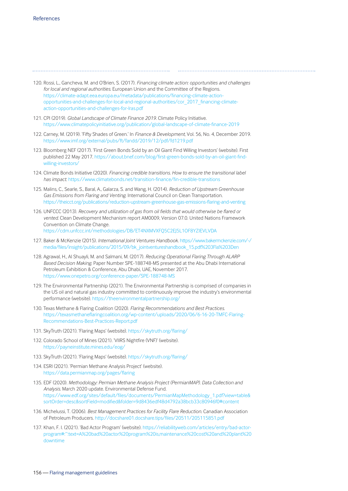- 120. Rossi, L., Gancheva, M. and O'Brien, S. (2017). *Financing climate action: opportunities and challenges for local and regional authorities*. European Union and the Committee of the Regions. https://climate-adapt.eea.europa.eu/metadata/publications/financing-climate-actionopportunities-and-challenges-for-local-and-regional-authorities/cor\_2017\_financing-climateaction-opportunities-and-challenges-for-lras.pdf
- 121. CPI (2019). *Global Landscape of Climate Finance 2019*. Climate Policy Initiative. https://www.climatepolicyinitiative.org/publication/global-landscape-of-climate-finance-2019
- 122. Carney, M. (2019). 'Fifty Shades of Green.' In *Finance & Development*, Vol. 56, No. 4, December 2019. https://www.imf.org/external/pubs/ft/fandd/2019/12/pdf/fd1219.pdf
- 123. Bloomberg NEF (2017). 'First Green Bonds Sold by an Oil Giant Find Willing Investors' (website). First published 22 May 2017. https://about.bnef.com/blog/first-green-bonds-sold-by-an-oil-giant-findwilling-investors/
- 124. Climate Bonds Initiative (2020). *Financing credible transitions. How to ensure the transitional label has impact*. https://www.climatebonds.net/transition-finance/fin-credible-transitions
- 125. Malins, C., Searle, S., Baral, A., Galarza, S. and Wang, H. (2014). *Reduction of Upstream Greenhouse Gas Emissions from Flaring and Venting*. International Council on Clean Transportation. https://theicct.org/publications/reduction-upstream-greenhouse-gas-emissions-flaring-and-venting
- 126. UNFCCC (2013). *Recovery and utilization of gas from oil fields that would otherwise be flared or vented*. Clean Development Mechanism report AM0009, Version 07.0. United Nations Framework Convention on Climate Change. https://cdm.unfccc.int/methodologies/DB/ET4NXMVXFQ5C2EJ5L1OF8YZIEVLVDA
- 127. Baker & McKenzie (2015). *International Joint Ventures Handbook*. https://www.bakermckenzie.com/-/ media/files/insight/publications/2015/09/bk\_jointventureshandbook\_15.pdf%203Fla%203Den
- 128. Agrawal, H., Al Shuayli, M. and Salmani, M. (2017). *Reducing Operational Flaring Through ALARP Based Decision Making*. Paper Number SPE-188748-MS presented at the Abu Dhabi International Petroleum Exhibition & Conference, Abu Dhabi, UAE, November 2017. https://www.onepetro.org/conference-paper/SPE-188748-MS
- 129. The Environmental Partnership (2021). The Environmental Partnership is comprised of companies in the US oil and natural gas industry committed to continuously improve the industry's environmental performance (website). https://theenvironmentalpartnership.org/
- 130. Texas Methane & Flaring Coalition (2020). *Flaring Recommendations and Best Practices*. https://texasmethaneflaringcoalition.org/wp-content/uploads/2020/06/6-16-20-TMFC-Flaring-Recommendations-Best-Practices-Report.pdf
- 131. SkyTruth (2021). 'Flaring Maps' (website). https://skytruth.org/flaring/
- 132. Colorado School of Mines (2021). 'VIIRS Nightfire (VNF)' (website). https://payneinstitute.mines.edu/eog/
- 133. SkyTruth (2021). 'Flaring Maps' (website). https://skytruth.org/flaring/
- 134. ESRI (2021). 'Permian Methane Analysis Project' (website). https://data.permianmap.org/pages/flaring
- 135. EDF (2020). *Methodology: Permian Methane Analysis Project (PermianMAP). Data Collection and Analysis.* March 2020 update. Environmental Defense Fund. https://www.edf.org/sites/default/files/documents/PermianMapMethodology\_1.pdf?view=table& sortOrder=desc&sortField=modified&folder=9d8436edf48d4792a38bcb33c80946f0#content
- 136. Michelussi, T. (2006). *Best Management Practices for Facility Flare Reduction*. Canadian Association of Petroleum Producers. http://docshare01.docshare.tips/files/20511/205115851.pdf
- 137. Khan, F. I. (2021). 'Bad Actor Program' (website). https://reliabilityweb.com/articles/entry/bad-actorprogram#:~:text=A%20bad%20actor%20program%20is,maintenance%20cost%20and%20plant%20 downtime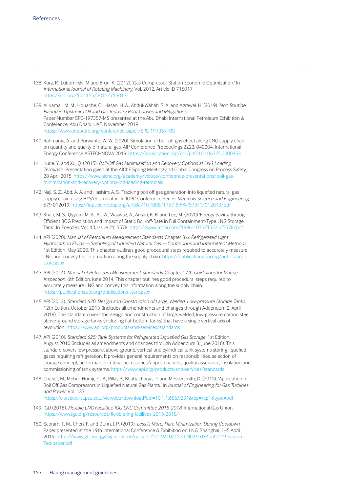138. Kurz, R., Lubomirski, M and Brun, K. (2012). 'Gas Compressor Station Economic Optimization.' In *International Journal of Rotating Machinery*, Vol. 2012, Article ID 715017. https://doi.org/10.1155/2012/715017

- 139. Al Kamali, M. M., Houache, O., Hasan, H. A., Abdul-Wahab, S. A. and Agrawal, H. (2019). *Non Routine Flaring in Upstream Oil and Gas Industry Root Causes and Mitigations.* Paper Number SPE-197357-MS presented at the Abu Dhabi International Petroleum Exhibition & Conference, Abu Dhabi, UAE, November 2019. https://www.onepetro.org/conference-paper/SPE-197357-MS
- 140. Rahmania, A. and Purwanto, W. W. (2020). Simulation of boil-off gas effect along LNG supply chain on quantity and quality of natural gas. AIP Conference Proceedings 2223, 040004, International Energy Conference ASTECHNOVA 2019. https://aip.scitation.org/doi/pdf/10.1063/5.0000853
- 141. Kurle, Y. and Xu, Q. (2015). *Boil-Off Gas Minimization and Recovery Options at LNG Loading Terminals*. Presentation given at the AIChE Spring Meeting and Global Congress on Process Safety, 28 April 2015. https://www.aiche.org/academy/videos/conference-presentations/boil-gasminimization-and-recovery-options-lng-loading-terminals
- 142. Naji, S. Z., Abd, A. A. and Hashim, A. S. 'Tracking boil off gas generation into liquefied natural gas supply chain using HYSYS simulator.' In IOPC Conference Series: *Materials Science and Engineering,*  579 012019. https://iopscience.iop.org/article/10.1088/1757-899X/579/1/012019/pdf
- 143. Khan, M. S., Qyyum, M. A., Ali, W., Wazwaz, A., Ansari, K. B. and Lee, M. (2020) 'Energy Saving through Efficient BOG Prediction and Impact of Static Boil-off-Rate in Full Containment-Type LNG Storage Tank.' In *Energies*, Vol. 13, Issue 21, 5578. https://www.mdpi.com/1996-1073/13/21/5578/pdf
- 144. API (2020). *Manual of Petroleum Measurement Standards*, Chapter 8.6: *Refrigerated Light Hydrocarbon Fluids — Sampling of Liquefied Natural Gas — Continuous and Intermittent Methods*. 1st Edition, May 2020. This chapter outlines good procedural steps required to accurately measure LNG and convey this information along the supply chain. https://publications.api.org/publicationsstore.aspx
- 145. API (2014). *Manual of Petroleum Measurement Standards*, Chapter 17.1: *Guidelines for Marine Inspection*. 6th Edition, June 2014. This chapter outlines good procedural steps required to accurately measure LNG and convey this information along the supply chain. https://publications.api.org/publications-store.aspx
- 146. API (2013). *Standard 620: Design and Construction of Large, Welded, Low-pressure Storage Tanks.* 12th Edition, October 2013 (includes all amendments and changes through Addendum 2, April 2018). This standard covers the design and construction of large, welded, low-pressure carbon steel above-ground storage tanks (including flat-bottom tanks) that have a single vertical axis of revolution. https://www.api.org/products-and-services/standards
- 147. API (2010). *Standard 625: Tank Systems for Refrigerated Liquefied Gas Storage*. 1st Edition, August 2010 (includes all amendments and changes through Addendum 3, June 2018). This standard covers low pressure, above-ground, vertical and cylindrical tank systems storing liquefied gases requiring refrigeration. It provides general requirements on responsibilities, selection of storage concept, performance criteria, accessories/appurtenances, quality assurance, insulation and commissioning of tank systems. https://www.api.org/products-and-services/standards
- 148. Chaker, M., Meher-Homji, C. B., Pillai, P., Bhattacharya, D. and Messersmith, D. (2015). 'Application of Boil Off Gas Compressors in Liquefied Natural Gas Plants.' In *Journal of Engineering for Gas Turbines and Power*, Vol. 137.

https://citeseerx.ist.psu.edu/viewdoc/download?doi=10.1.1.656.9391&rep=rep1&type=pdf

- 149. IGU (2018). *Flexible LNG Facilities. IGU LNG Committee 2015-2018*. International Gas Union. https://www.igu.org/resources/flexible-lng-facilities-2015-2018/
- 150. Sabram, T. M., Chen, F. and Dunn, J. P. (2019). *Less Is More: Flare Minimization During Cooldown*. Paper presented at the 19th International Conference & Exhibition on LNG, Shanghai, 1–5 April 2019. https://www.gti.energy/wp-content/uploads/2019/10/153-LNG19-03April2019-Sabram-Ted-paper.pdf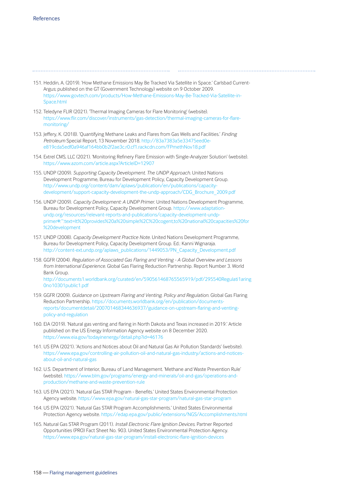- 151. Heddin, A. (2019). 'How Methane Emissions May Be Tracked Via Satellite in Space.' Carlsbad Current-Argus; published on the GT (Government Technology) website on 9 October 2009. https://www.govtech.com/products/How-Methane-Emissions-May-Be-Tracked-Via-Satellite-in-Space.html
- 152. Teledyne FLIR (2021). 'Thermal Imaging Cameras for Flare Monitoring' (website). https://www.fl[ir.com/discover/instruments/gas-detection/thermal-imaging-cameras-for-](https://www.flir.com/discover/instruments/gas-detection/thermal-imaging-cameras-for-flare-monitoring/)flaremonitoring/
- 153. Jeffery, K. (2018). 'Quantifying Methane Leaks and Flares from Gas Wells and Facilities.' *Finding Petroleum* Special Report, 13 November 2018. http://83a7383a5e33475eed0ee819cda5edf0a946af164bb0b2f2ae3c.r0.cf1.rackcdn.com/FPmethNov18.pdf
- 154. Extrel CMS, LLC (2021). 'Monitoring Refinery Flare Emission with Single-Analyzer Solution' (website). https://www.azom.com/article.aspx?ArticleID=12907
- 155. UNDP (2009). *Supporting Capacity Development. The UNDP Approach.* United Nations Development Programme, Bureau for Development Policy, Capacity Development Group. http://www.undp.org/content/dam/aplaws/publication/en/publications/capacitydevelopment/support-capacity-development-the-undp-approach/CDG\_Brochure\_2009.pdf
- 156. UNDP (2009). *Capacity Development: A UNDP Primer*. United Nations Development Programme, Bureau for Development Policy, Capacity Development Group. https://www.adaptationundp.org/resources/relevant-reports-and-publications/capacity-development-undp[primer#:~:text=It%20provides%20a%20simple%2C%20cogent,to%20national%20capacities%20for](https://www.adaptation-undp.org/resources/relevant-reports-and-publications/capacity-development-undp-primer#:~:text=It%20provides%20a%20simple%2C%20cogent,to%20national%20capacities%20for%20development) %20development
- 157. UNDP (2008). *Capacity Development Practice Note.* United Nations Development Programme, Bureau for Development Policy, Capacity Development Group. Ed.: Kanni Wignaraja. http://content-ext.undp.org/aplaws\_publications/1449053/PN\_Capacity\_Development.pdf
- 158. GGFR (2004). *Regulation of Associated Gas Flaring and Venting A Global Overview and Lessons from International Experience*. Global Gas Flaring Reduction Partnership. Report Number 3. World Bank Group. [http://documents1.worldbank.org/curated/en/590561468765565919/pdf/295540Regulati1aring](http://documents1.worldbank.org/curated/en/590561468765565919/pdf/295540Regulati1aring0no10301public1.pdf) 0no10301public1.pdf
- 159. GGFR (2009). *Guidance on Upstream Flaring and Venting. Policy and Regulation.* Global Gas Flaring Reduction Partnership. https://documents.worldbank.org/en/publication/documentsreports/documentdetail/200701468344636937/guidance-on-upstream-flaring-and-ventingpolicy-and-regulation
- 160. EIA (2019). 'Natural gas venting and flaring in North Dakota and Texas increased in 2019.' Article published on the US Energy Information Agency website on 8 December 2020. https://www.eia.gov/todayinenergy/detail.php?id=46176
- 161. US EPA (2021). 'Actions and Notices about Oil and Natural Gas Air Pollution Standards' (website). https://www.epa.gov/controlling-air-pollution-oil-and-natural-gas-industry/actions-and-noticesabout-oil-and-natural-gas
- 162. U.S. Department of Interior, Bureau of Land Management. 'Methane and Waste Prevention Rule' (website). https://www.blm.gov/programs/energy-and-minerals/oil-and-gas/operations-andproduction/methane-and-waste-prevention-rule
- 163. US EPA (2021). 'Natural Gas STAR Program Benefits.' United States Environmental Protection Agency website. https://www.epa.gov/natural-gas-star-program/natural-gas-star-program
- 164. US EPA (2021). 'Natural Gas STAR Program Accomplishments.' United States Environmental Protection Agency website. https://edap.epa.gov/public/extensions/NGS/Accomplishments.html
- 165. Natural Gas STAR Program (2011). *Install Electronic Flare Ignition Devices*. Partner Reported Opportunities (PRO) Fact Sheet No. 903. United States Environmental Protection Agency. https://www.epa.gov/natural-gas-star-program/install-electronic-flare-ignition-devices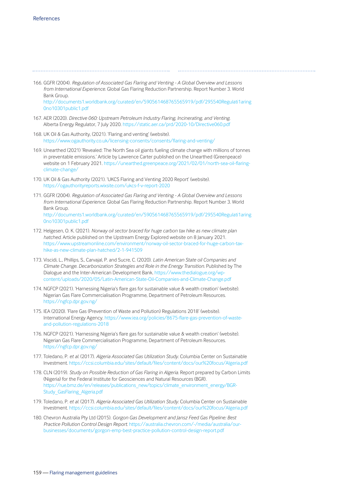- 166. GGFR (2004). *Regulation of Associated Gas Flaring and Venting A Global Overview and Lessons from International Experience*. Global Gas Flaring Reduction Partnership. Report Number 3. World Bank Group. [http://documents1.worldbank.org/curated/en/590561468765565919/pdf/295540Regulati1aring](http://documents1.worldbank.org/curated/en/590561468765565919/pdf/295540Regulati1aring0no10301public1.pdf) 0no10301public1.pdf
- 167. AER (2020). *Directive 060: Upstream Petroleum Industry Flaring, Incinerating, and Venting.* Alberta Energy Regulator, 7 July 2020. https://static.aer.ca/prd/2020-10/Directive060.pdf
- 168. UK Oil & Gas Authority, (2021). 'Flaring and venting' (website). https://www.ogauthority.co.uk/licensing-consents/consents/flaring-and-venting/
- 169. Unearthed (2021) 'Revealed: The North Sea oil giants fueling climate change with millions of tonnes in preventable emissions.' Article by Lawrence Carter published on the Unearthed (Greenpeace) website on 1 February 2021. https://unearthed.greenpeace.org/2021/02/01/north-sea-oil-flaringclimate-change/
- 170. UK Oil & Gas Authority (2021). 'UKCS Flaring and Venting 2020 Report' (website). https://ogauthorityreports.wixsite.com/ukcs-f-v-report-2020
- 171. GGFR (2004). *Regulation of Associated Gas Flaring and Venting A Global Overview and Lessons from International Experience*. Global Gas Flaring Reduction Partnership. Report Number 3. World Bank Group. [http://documents1.worldbank.org/curated/en/590561468765565919/pdf/295540Regulati1aring](http://documents1.worldbank.org/curated/en/590561468765565919/pdf/295540Regulati1aring0no10301public1.pdf) 0no10301public1.pdf
- 172. Helgesen, O. K. (2021). *Norway oil sector braced for huge carbon tax hike as new climate plan hatched.* Article published on the Upstream Energy Explored website on 8 January 2021. https://www.upstreamonline.com/environment/norway-oil-sector-braced-for-huge-carbon-taxhike-as-new-climate-plan-hatched/2-1-941509
- 173. Viscidi, L., Phillips, S., Carvajal, P. and Sucre, C. (2020). *Latin American State oil Companies and Climate Change. Decarbonization Strategies and Role in the Energy Transition.* Published by The Dialogue and the Inter-American Development Bank. https://www.thedialogue.org/wpcontent/uploads/2020/05/Latin-American-State-Oil-Companies-and-Climate-Change.pdf
- 174. NGFCP (2021). 'Harnessing Nigeria's flare gas for sustainable value & wealth creation' (website). Nigerian Gas Flare Commercialisation Programme, Department of Petroleum Resources. https://ngfcp.dpr.gov.ng/
- 175. IEA (2020). 'Flare Gas (Prevention of Waste and Pollution) Regulations 2018' (website). International Energy Agency. https://www.iea.org/policies/8675-flare-gas-prevention-of-wasteand-pollution-regulations-2018
- 176. NGFCP (2021). 'Harnessing Nigeria's flare gas for sustainable value & wealth creation' (website). Nigerian Gas Flare Commercialisation Programme, Department of Petroleum Resources. https://ngfcp.dpr.gov.ng/
- 177. Toledano, P. *et al.* (2017). *Algeria Associated Gas Utilization Study*. Columbia Center on Sustainable Investment. https://ccsi.columbia.edu/sites/default/files/content/docs/our%20focus/Algeria.pdf
- 178. CLN (2019). *Study on Possible Reduction of Gas Flaring in Algeria*. Report prepared by Carbon Limits (Nigeria) for the Federal Institute for Geosciences and Natural Resources (BGR). https://rue.bmz.de/en/releases/publications\_new/topics/climate\_environment\_energy/BGR-Study GasFlaring Algeria.pdf
- 179. Toledano, P. *et al.* (2017). *Algeria Associated Gas Utilization Study*. Columbia Center on Sustainable Investment. https://ccsi.columbia.edu/sites/default/files/content/docs/our%20focus/Algeria.pdf
- 180. Chevron Australia Pty Ltd (2015). *Gorgon Gas Development and Jansz Feed Gas Pipeline: Best Practice Pollution Control Design Report*. https://australia.chevron.com/-/media/australia/ourbusinesses/documents/gorgon-emp-best-practice-pollution-control-design-report.pdf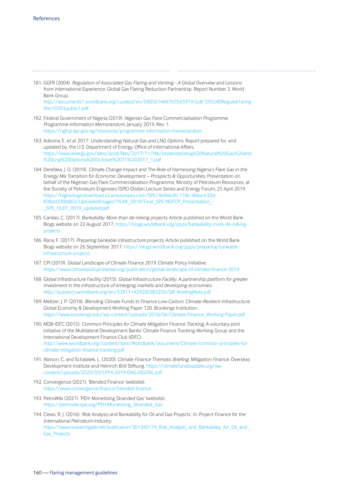- 181. GGFR (2004). *Regulation of Associated Gas Flaring and Venting A Global Overview and Lessons from International Experience*. Global Gas Flaring Reduction Partnership. Report Number 3. World Bank Group. [http://documents1.worldbank.org/curated/en/590561468765565919/pdf/295540Regulati1aring](http://documents1.worldbank.org/curated/en/590561468765565919/pdf/295540Regulati1aring0no10301public1.pdf)
	- 0no10301public1.pdf
- 182. Federal Government of Nigeria (2019). *Nigerian Gas Flare Commercialisation Programme. Programme Information Memorandum*. January 2019, Rev. 1. https://ngfcp.dpr.gov.ng/resources/programme-information-memorandum
- 183. Adesina, E. *et al*. 2017. *Understanding Natural Gas and LNG Options*. Report prepared for, and updated by, the U.S. Department of Energy, Office of International Affairs. https://www.energy.gov/sites/prod/fi[les/2017/11/f46/Understanding%20Natural%20Gas%20and](https://www.energy.gov/sites/prod/files/2017/11/f46/Understanding%20Natural%20Gas%20and%20Lng%20Options%20October%2011%202017_1.pdf) %20Lng%20Options%20October%2011%202017\_1.pdf
- 184. Derefaka, J. O. (2019). *Climate Change Impact and The Role of Harnessing Nigeria's Flare Gas in the Energy Mix Transition for Economic Development – Prospects & Opportunities*. Presentation on behalf of the Nigerian Gas Flare Commercialisation Programme, Ministry of Petroleum Resources, at the Society of Petroleum Engineers (SPE) Oloibiri Lecture Series and Energy Forum, 25 April 2019. https://higherlogicdownload.s3.amazonaws.com/SPE/4e9ea2fc-118c-40ea-b32d-838dd330b863/UploadedImages/YEAR\_2019/Final\_SPE-NGFCP\_Presentation\_-SPE\_OLEF\_2019\_updated.pdf
- 185. Canilao, C. (2017). *Bankability: More than de-risking projects*. Article published on the World Bank [Blogs website on 22 August 2017. https://blogs.worldbank.org/ppps/bankability-more-de-risking](https://blogs.worldbank.org/ppps/bankability-more-de-risking-projects)projects
- 186. Rana, F. (2017). *Preparing bankable infrastructure projects.* Article published on the World Bank Blogs website on 26 September 2017. https://blogs.worldbank.org/ppps/preparing-bankableinfrastructure-projects
- 187. CPI (2019). *Global Landscape of Climate Finance 2019*. Climate Policy Initiative. https://www.climatepolicyinitiative.org/publication/global-landscape-of-climate-finance-2019
- 188 Global Infrastructure Facility (2015). *Global Infrastructure Facility. A partnership platform for greater investment in the infrastructure of emerging markets and developing economies*. http://pubdocs.worldbank.org/en/339111429200383235/GIF-BriefingNote.pdf
- 189. Meltzer, J. P. (2018). *Blending Climate Funds to Finance Low-Carbon, Climate-Resilient Infrastructure*. Global Economy & Development Working Paper 120. Brookings Institution. https://www.brookings.edu/wp-content/uploads/2018/06/Climate-Finance\_Working-Paper.pdf
- 190. MDB-IDFC (2015). *Common Principles for Climate Mitigation Finance Tracking*. A voluntary joint initiative of the Multilateral Development Banks' Climate Finance Tracking Working Group and the International Development Finance Club (IDFC). http://www.worldbank.org/content/dam/Worldbank/document/Climate/common-principles-forclimate-mitigation-finance-tracking.pdf
- 191. Watson, C. and Schalatek, L. (2020). *Climate Finance Thematic Briefing: Mitigation Finance*. Overseas Development Institute and Heinrich Böll Stiftung. https://climatefundsupdate.org/wpcontent/uploads/2020/03/CFF4-2019-ENG-DIGITAL.pdf
- 192. Convergence (2021). 'Blended Finance' (website). https://www.convergence.finance/blended-finance
- 193. PetroWiki (2021). 'PEH: Monetizing Stranded Gas' (website). https://petrowiki.spe.org/PEH:Monetizing\_Stranded\_Gas
- 194. Clews, R. J. (2016). 'Risk Analysis and Bankability for Oil and Gas Projects.' In *Project Finance for the International Petroleum Industry*. https://www.researchgate.net/publication/301345174\_Risk\_Analysis\_and\_Bankability\_for\_Oil\_and Gas Projects